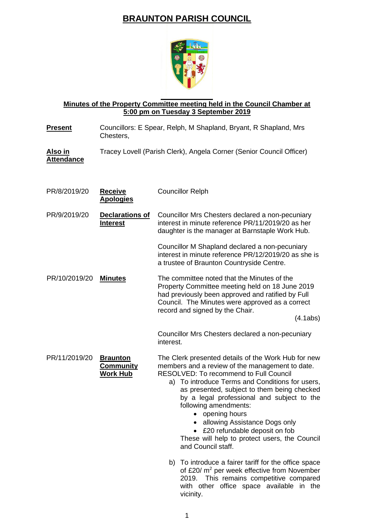## **BRAUNTON PARISH COUNCIL**



## **Minutes of the Property Committee meeting held in the Council Chamber at 5:00 pm on Tuesday 3 September 2019**

| <b>Present</b>                      | Councillors: E Spear, Relph, M Shapland, Bryant, R Shapland, Mrs<br>Chesters, |                                                                                                                                                                                                                                                                                                                                                                                                                                                                                                                                                                                                                                   |
|-------------------------------------|-------------------------------------------------------------------------------|-----------------------------------------------------------------------------------------------------------------------------------------------------------------------------------------------------------------------------------------------------------------------------------------------------------------------------------------------------------------------------------------------------------------------------------------------------------------------------------------------------------------------------------------------------------------------------------------------------------------------------------|
| <u>Also in</u><br><b>Attendance</b> |                                                                               | Tracey Lovell (Parish Clerk), Angela Corner (Senior Council Officer)                                                                                                                                                                                                                                                                                                                                                                                                                                                                                                                                                              |
| PR/8/2019/20                        | <b>Receive</b><br><b>Apologies</b>                                            | <b>Councillor Relph</b>                                                                                                                                                                                                                                                                                                                                                                                                                                                                                                                                                                                                           |
| PR/9/2019/20                        | <b>Declarations of</b><br><b>Interest</b>                                     | Councillor Mrs Chesters declared a non-pecuniary<br>interest in minute reference PR/11/2019/20 as her<br>daughter is the manager at Barnstaple Work Hub.                                                                                                                                                                                                                                                                                                                                                                                                                                                                          |
|                                     |                                                                               | Councillor M Shapland declared a non-pecuniary<br>interest in minute reference PR/12/2019/20 as she is<br>a trustee of Braunton Countryside Centre.                                                                                                                                                                                                                                                                                                                                                                                                                                                                               |
| PR/10/2019/20                       | <b>Minutes</b>                                                                | The committee noted that the Minutes of the<br>Property Committee meeting held on 18 June 2019<br>had previously been approved and ratified by Full<br>Council. The Minutes were approved as a correct<br>record and signed by the Chair.<br>(4.1abs)                                                                                                                                                                                                                                                                                                                                                                             |
|                                     |                                                                               | Councillor Mrs Chesters declared a non-pecuniary<br>interest.                                                                                                                                                                                                                                                                                                                                                                                                                                                                                                                                                                     |
| PR/11/2019/20                       | <b>Braunton</b><br><b>Community</b><br><b>Work Hub</b>                        | The Clerk presented details of the Work Hub for new<br>members and a review of the management to date.<br><b>RESOLVED: To recommend to Full Council</b><br>To introduce Terms and Conditions for users,<br>a)<br>as presented, subject to them being checked<br>by a legal professional and subject to the<br>following amendments:<br>• opening hours<br>• allowing Assistance Dogs only<br>£20 refundable deposit on fob<br>$\bullet$<br>These will help to protect users, the Council<br>and Council staff.<br>b) To introduce a fairer tariff for the office space<br>of £20/ m <sup>2</sup> per week effective from November |
|                                     |                                                                               | 2019. This remains competitive compared                                                                                                                                                                                                                                                                                                                                                                                                                                                                                                                                                                                           |

vicinity.

with other office space available in the